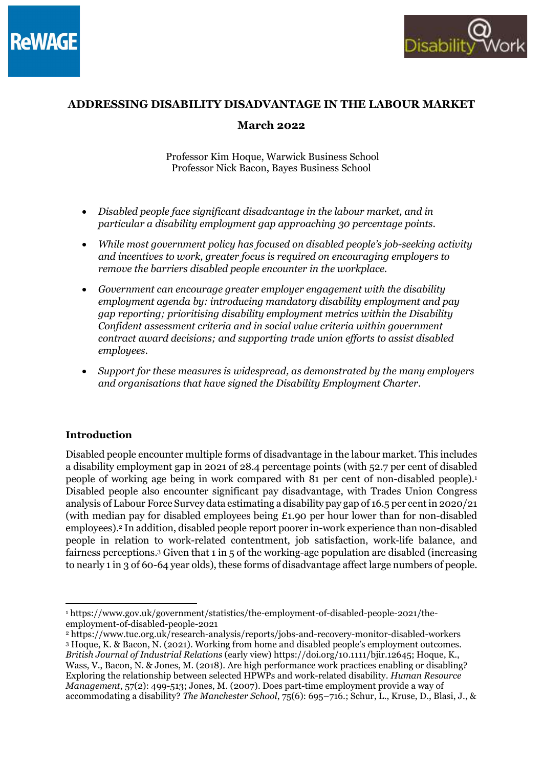



# ADDRESSING DISABILITY DISADVANTAGE IN THE LABOUR MARKET March 2022

 Professor Kim Hoque, Warwick Business School Professor Nick Bacon, Bayes Business School

- Disabled people face significant disadvantage in the labour market, and in particular a disability employment gap approaching 30 percentage points.
- While most government policy has focused on disabled people's job-seeking activity and incentives to work, greater focus is required on encouraging employers to remove the barriers disabled people encounter in the workplace.
- Government can encourage greater employer engagement with the disability employment agenda by: introducing mandatory disability employment and pay gap reporting; prioritising disability employment metrics within the Disability Confident assessment criteria and in social value criteria within government contract award decisions; and supporting trade union efforts to assist disabled employees.
- Support for these measures is widespread, as demonstrated by the many employers and organisations that have signed the Disability Employment Charter.

### Introduction

Disabled people encounter multiple forms of disadvantage in the labour market. This includes a disability employment gap in 2021 of 28.4 percentage points (with 52.7 per cent of disabled people of working age being in work compared with 81 per cent of non-disabled people).<sup>1</sup> Disabled people also encounter significant pay disadvantage, with Trades Union Congress analysis of Labour Force Survey data estimating a disability pay gap of 16.5 per cent in 2020/21 (with median pay for disabled employees being £1.90 per hour lower than for non-disabled employees).<sup>2</sup> In addition, disabled people report poorer in-work experience than non-disabled people in relation to work-related contentment, job satisfaction, work-life balance, and fairness perceptions.<sup>3</sup> Given that 1 in 5 of the working-age population are disabled (increasing to nearly 1 in 3 of 60-64 year olds), these forms of disadvantage affect large numbers of people.

<sup>1</sup> https://www.gov.uk/government/statistics/the-employment-of-disabled-people-2021/theemployment-of-disabled-people-2021

<sup>2</sup> https://www.tuc.org.uk/research-analysis/reports/jobs-and-recovery-monitor-disabled-workers <sup>3</sup> Hoque, K. & Bacon, N. (2021). Working from home and disabled people's employment outcomes. British Journal of Industrial Relations (early view) https://doi.org/10.1111/bjir.12645; Hoque, K., Wass, V., Bacon, N. & Jones, M. (2018). Are high performance work practices enabling or disabling? Exploring the relationship between selected HPWPs and work-related disability. Human Resource Management, 57(2): 499-513; Jones, M. (2007). Does part-time employment provide a way of accommodating a disability? The Manchester School, 75(6): 695–716.; Schur, L., Kruse, D., Blasi, J., &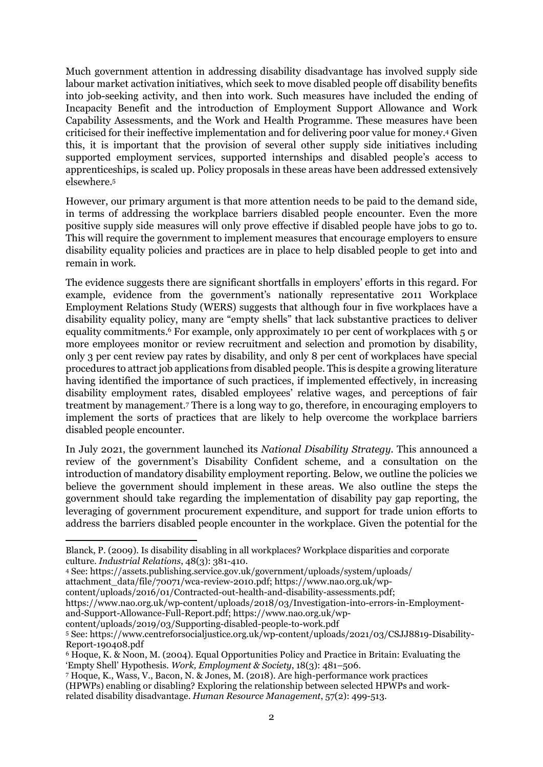Much government attention in addressing disability disadvantage has involved supply side labour market activation initiatives, which seek to move disabled people off disability benefits into job-seeking activity, and then into work. Such measures have included the ending of Incapacity Benefit and the introduction of Employment Support Allowance and Work Capability Assessments, and the Work and Health Programme. These measures have been criticised for their ineffective implementation and for delivering poor value for money.<sup>4</sup> Given this, it is important that the provision of several other supply side initiatives including supported employment services, supported internships and disabled people's access to apprenticeships, is scaled up. Policy proposals in these areas have been addressed extensively elsewhere.<sup>5</sup>

However, our primary argument is that more attention needs to be paid to the demand side, in terms of addressing the workplace barriers disabled people encounter. Even the more positive supply side measures will only prove effective if disabled people have jobs to go to. This will require the government to implement measures that encourage employers to ensure disability equality policies and practices are in place to help disabled people to get into and remain in work.

The evidence suggests there are significant shortfalls in employers' efforts in this regard. For example, evidence from the government's nationally representative 2011 Workplace Employment Relations Study (WERS) suggests that although four in five workplaces have a disability equality policy, many are "empty shells" that lack substantive practices to deliver equality commitments.<sup>6</sup> For example, only approximately 10 per cent of workplaces with 5 or more employees monitor or review recruitment and selection and promotion by disability, only 3 per cent review pay rates by disability, and only 8 per cent of workplaces have special procedures to attract job applications from disabled people. This is despite a growing literature having identified the importance of such practices, if implemented effectively, in increasing disability employment rates, disabled employees' relative wages, and perceptions of fair treatment by management.<sup>7</sup> There is a long way to go, therefore, in encouraging employers to implement the sorts of practices that are likely to help overcome the workplace barriers disabled people encounter.

In July 2021, the government launched its National Disability Strategy. This announced a review of the government's Disability Confident scheme, and a consultation on the introduction of mandatory disability employment reporting. Below, we outline the policies we believe the government should implement in these areas. We also outline the steps the government should take regarding the implementation of disability pay gap reporting, the leveraging of government procurement expenditure, and support for trade union efforts to address the barriers disabled people encounter in the workplace. Given the potential for the

attachment\_data/file/70071/wca-review-2010.pdf; https://www.nao.org.uk/wp-

content/uploads/2019/03/Supporting-disabled-people-to-work.pdf

7 Hoque, K., Wass, V., Bacon, N. & Jones, M. (2018). Are high-performance work practices (HPWPs) enabling or disabling? Exploring the relationship between selected HPWPs and workrelated disability disadvantage. Human Resource Management, 57(2): 499-513.

Blanck, P. (2009). Is disability disabling in all workplaces? Workplace disparities and corporate culture. Industrial Relations, 48(3): 381-410.

<sup>4</sup> See: https://assets.publishing.service.gov.uk/government/uploads/system/uploads/

content/uploads/2016/01/Contracted-out-health-and-disability-assessments.pdf;

https://www.nao.org.uk/wp-content/uploads/2018/03/Investigation-into-errors-in-Employmentand-Support-Allowance-Full-Report.pdf; https://www.nao.org.uk/wp-

<sup>5</sup> See: https://www.centreforsocialjustice.org.uk/wp-content/uploads/2021/03/CSJJ8819-Disability-Report-190408.pdf

<sup>6</sup> Hoque, K. & Noon, M. (2004). Equal Opportunities Policy and Practice in Britain: Evaluating the 'Empty Shell' Hypothesis. Work, Employment & Society, 18(3): 481–506.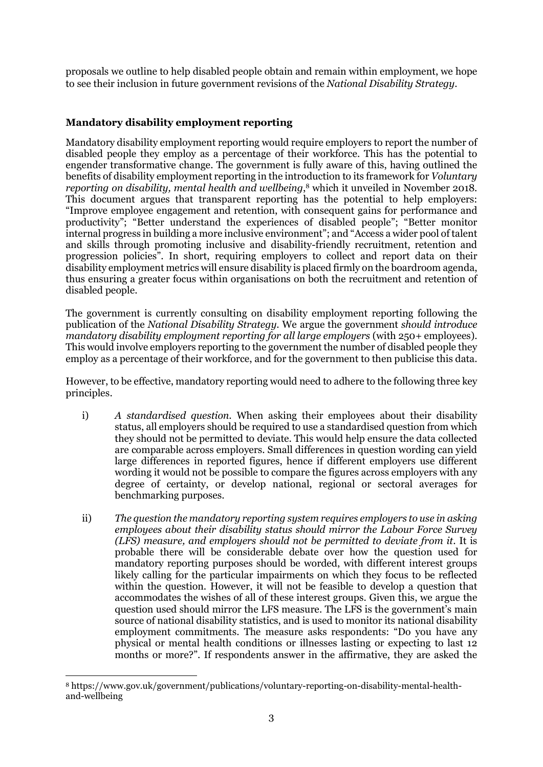proposals we outline to help disabled people obtain and remain within employment, we hope to see their inclusion in future government revisions of the National Disability Strategy.

# Mandatory disability employment reporting

Mandatory disability employment reporting would require employers to report the number of disabled people they employ as a percentage of their workforce. This has the potential to engender transformative change. The government is fully aware of this, having outlined the benefits of disability employment reporting in the introduction to its framework for Voluntary reporting on disability, mental health and wellbeing, <sup>8</sup> which it unveiled in November 2018. This document argues that transparent reporting has the potential to help employers: "Improve employee engagement and retention, with consequent gains for performance and productivity"; "Better understand the experiences of disabled people"; "Better monitor internal progress in building a more inclusive environment"; and "Access a wider pool of talent and skills through promoting inclusive and disability-friendly recruitment, retention and progression policies". In short, requiring employers to collect and report data on their disability employment metrics will ensure disability is placed firmly on the boardroom agenda, thus ensuring a greater focus within organisations on both the recruitment and retention of disabled people.

The government is currently consulting on disability employment reporting following the publication of the National Disability Strategy. We argue the government should introduce mandatory disability employment reporting for all large employers (with 250+ employees). This would involve employers reporting to the government the number of disabled people they employ as a percentage of their workforce, and for the government to then publicise this data.

However, to be effective, mandatory reporting would need to adhere to the following three key principles.

- i) A standardised question. When asking their employees about their disability status, all employers should be required to use a standardised question from which they should not be permitted to deviate. This would help ensure the data collected are comparable across employers. Small differences in question wording can yield large differences in reported figures, hence if different employers use different wording it would not be possible to compare the figures across employers with any degree of certainty, or develop national, regional or sectoral averages for benchmarking purposes.
- ii) The question the mandatory reporting system requires employers to use in asking employees about their disability status should mirror the Labour Force Survey (LFS) measure, and employers should not be permitted to deviate from it. It is probable there will be considerable debate over how the question used for mandatory reporting purposes should be worded, with different interest groups likely calling for the particular impairments on which they focus to be reflected within the question. However, it will not be feasible to develop a question that accommodates the wishes of all of these interest groups. Given this, we argue the question used should mirror the LFS measure. The LFS is the government's main source of national disability statistics, and is used to monitor its national disability employment commitments. The measure asks respondents: "Do you have any physical or mental health conditions or illnesses lasting or expecting to last 12 months or more?". If respondents answer in the affirmative, they are asked the

<sup>8</sup> https://www.gov.uk/government/publications/voluntary-reporting-on-disability-mental-healthand-wellbeing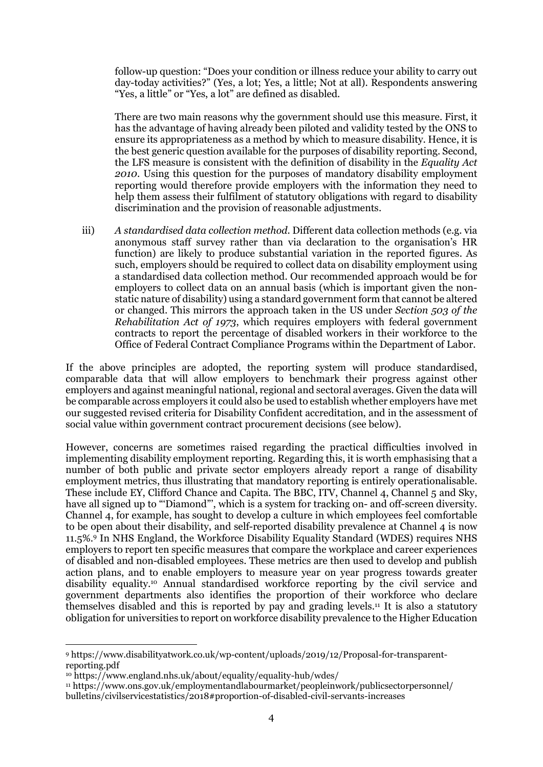follow-up question: "Does your condition or illness reduce your ability to carry out day-today activities?" (Yes, a lot; Yes, a little; Not at all). Respondents answering "Yes, a little" or "Yes, a lot" are defined as disabled.

There are two main reasons why the government should use this measure. First, it has the advantage of having already been piloted and validity tested by the ONS to ensure its appropriateness as a method by which to measure disability. Hence, it is the best generic question available for the purposes of disability reporting. Second, the LFS measure is consistent with the definition of disability in the Equality Act 2010. Using this question for the purposes of mandatory disability employment reporting would therefore provide employers with the information they need to help them assess their fulfilment of statutory obligations with regard to disability discrimination and the provision of reasonable adjustments.

iii) A standardised data collection method. Different data collection methods (e.g. via anonymous staff survey rather than via declaration to the organisation's HR function) are likely to produce substantial variation in the reported figures. As such, employers should be required to collect data on disability employment using a standardised data collection method. Our recommended approach would be for employers to collect data on an annual basis (which is important given the nonstatic nature of disability) using a standard government form that cannot be altered or changed. This mirrors the approach taken in the US under Section 503 of the Rehabilitation Act of 1973, which requires employers with federal government contracts to report the percentage of disabled workers in their workforce to the Office of Federal Contract Compliance Programs within the Department of Labor.

If the above principles are adopted, the reporting system will produce standardised, comparable data that will allow employers to benchmark their progress against other employers and against meaningful national, regional and sectoral averages. Given the data will be comparable across employers it could also be used to establish whether employers have met our suggested revised criteria for Disability Confident accreditation, and in the assessment of social value within government contract procurement decisions (see below).

However, concerns are sometimes raised regarding the practical difficulties involved in implementing disability employment reporting. Regarding this, it is worth emphasising that a number of both public and private sector employers already report a range of disability employment metrics, thus illustrating that mandatory reporting is entirely operationalisable. These include EY, Clifford Chance and Capita. The BBC, ITV, Channel 4, Channel 5 and Sky, have all signed up to "'Diamond"', which is a system for tracking on- and off-screen diversity. Channel 4, for example, has sought to develop a culture in which employees feel comfortable to be open about their disability, and self-reported disability prevalence at Channel 4 is now 11.5%.<sup>9</sup> In NHS England, the Workforce Disability Equality Standard (WDES) requires NHS employers to report ten specific measures that compare the workplace and career experiences of disabled and non-disabled employees. These metrics are then used to develop and publish action plans, and to enable employers to measure year on year progress towards greater disability equality.10 Annual standardised workforce reporting by the civil service and government departments also identifies the proportion of their workforce who declare themselves disabled and this is reported by pay and grading levels.11 It is also a statutory obligation for universities to report on workforce disability prevalence to the Higher Education

<sup>9</sup> https://www.disabilityatwork.co.uk/wp-content/uploads/2019/12/Proposal-for-transparentreporting.pdf

<sup>10</sup> https://www.england.nhs.uk/about/equality/equality-hub/wdes/

<sup>11</sup> https://www.ons.gov.uk/employmentandlabourmarket/peopleinwork/publicsectorpersonnel/ bulletins/civilservicestatistics/2018#proportion-of-disabled-civil-servants-increases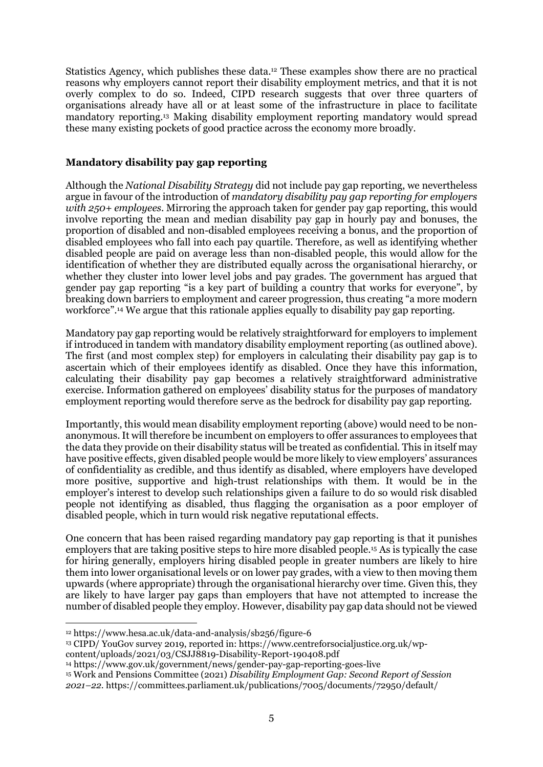Statistics Agency, which publishes these data.12 These examples show there are no practical reasons why employers cannot report their disability employment metrics, and that it is not overly complex to do so. Indeed, CIPD research suggests that over three quarters of organisations already have all or at least some of the infrastructure in place to facilitate mandatory reporting.13 Making disability employment reporting mandatory would spread these many existing pockets of good practice across the economy more broadly.

#### Mandatory disability pay gap reporting

Although the *National Disability Strategy* did not include pay gap reporting, we nevertheless argue in favour of the introduction of mandatory disability pay gap reporting for employers with 250+ employees. Mirroring the approach taken for gender pay gap reporting, this would involve reporting the mean and median disability pay gap in hourly pay and bonuses, the proportion of disabled and non-disabled employees receiving a bonus, and the proportion of disabled employees who fall into each pay quartile. Therefore, as well as identifying whether disabled people are paid on average less than non-disabled people, this would allow for the identification of whether they are distributed equally across the organisational hierarchy, or whether they cluster into lower level jobs and pay grades. The government has argued that gender pay gap reporting "is a key part of building a country that works for everyone", by breaking down barriers to employment and career progression, thus creating "a more modern workforce".14 We argue that this rationale applies equally to disability pay gap reporting.

Mandatory pay gap reporting would be relatively straightforward for employers to implement if introduced in tandem with mandatory disability employment reporting (as outlined above). The first (and most complex step) for employers in calculating their disability pay gap is to ascertain which of their employees identify as disabled. Once they have this information, calculating their disability pay gap becomes a relatively straightforward administrative exercise. Information gathered on employees' disability status for the purposes of mandatory employment reporting would therefore serve as the bedrock for disability pay gap reporting.

Importantly, this would mean disability employment reporting (above) would need to be nonanonymous. It will therefore be incumbent on employers to offer assurances to employees that the data they provide on their disability status will be treated as confidential. This in itself may have positive effects, given disabled people would be more likely to view employers' assurances of confidentiality as credible, and thus identify as disabled, where employers have developed more positive, supportive and high-trust relationships with them. It would be in the employer's interest to develop such relationships given a failure to do so would risk disabled people not identifying as disabled, thus flagging the organisation as a poor employer of disabled people, which in turn would risk negative reputational effects.

One concern that has been raised regarding mandatory pay gap reporting is that it punishes employers that are taking positive steps to hire more disabled people.15 As is typically the case for hiring generally, employers hiring disabled people in greater numbers are likely to hire them into lower organisational levels or on lower pay grades, with a view to then moving them upwards (where appropriate) through the organisational hierarchy over time. Given this, they are likely to have larger pay gaps than employers that have not attempted to increase the number of disabled people they employ. However, disability pay gap data should not be viewed

<sup>12</sup> https://www.hesa.ac.uk/data-and-analysis/sb256/figure-6

<sup>13</sup> CIPD/ YouGov survey 2019, reported in: https://www.centreforsocialjustice.org.uk/wp-

content/uploads/2021/03/CSJJ8819-Disability-Report-190408.pdf

<sup>14</sup> https://www.gov.uk/government/news/gender-pay-gap-reporting-goes-live

<sup>15</sup> Work and Pensions Committee (2021) Disability Employment Gap: Second Report of Session

<sup>2021–22</sup>. https://committees.parliament.uk/publications/7005/documents/72950/default/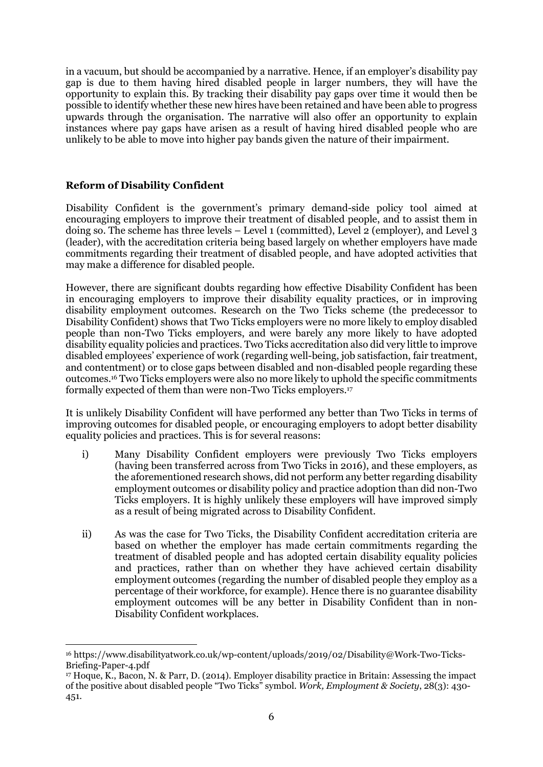in a vacuum, but should be accompanied by a narrative. Hence, if an employer's disability pay gap is due to them having hired disabled people in larger numbers, they will have the opportunity to explain this. By tracking their disability pay gaps over time it would then be possible to identify whether these new hires have been retained and have been able to progress upwards through the organisation. The narrative will also offer an opportunity to explain instances where pay gaps have arisen as a result of having hired disabled people who are unlikely to be able to move into higher pay bands given the nature of their impairment.

# Reform of Disability Confident

Disability Confident is the government's primary demand-side policy tool aimed at encouraging employers to improve their treatment of disabled people, and to assist them in doing so. The scheme has three levels – Level 1 (committed), Level 2 (employer), and Level 3 (leader), with the accreditation criteria being based largely on whether employers have made commitments regarding their treatment of disabled people, and have adopted activities that may make a difference for disabled people.

However, there are significant doubts regarding how effective Disability Confident has been in encouraging employers to improve their disability equality practices, or in improving disability employment outcomes. Research on the Two Ticks scheme (the predecessor to Disability Confident) shows that Two Ticks employers were no more likely to employ disabled people than non-Two Ticks employers, and were barely any more likely to have adopted disability equality policies and practices. Two Ticks accreditation also did very little to improve disabled employees' experience of work (regarding well-being, job satisfaction, fair treatment, and contentment) or to close gaps between disabled and non-disabled people regarding these outcomes.16 Two Ticks employers were also no more likely to uphold the specific commitments formally expected of them than were non-Two Ticks employers.<sup>17</sup>

It is unlikely Disability Confident will have performed any better than Two Ticks in terms of improving outcomes for disabled people, or encouraging employers to adopt better disability equality policies and practices. This is for several reasons:

- i) Many Disability Confident employers were previously Two Ticks employers (having been transferred across from Two Ticks in 2016), and these employers, as the aforementioned research shows, did not perform any better regarding disability employment outcomes or disability policy and practice adoption than did non-Two Ticks employers. It is highly unlikely these employers will have improved simply as a result of being migrated across to Disability Confident.
- ii) As was the case for Two Ticks, the Disability Confident accreditation criteria are based on whether the employer has made certain commitments regarding the treatment of disabled people and has adopted certain disability equality policies and practices, rather than on whether they have achieved certain disability employment outcomes (regarding the number of disabled people they employ as a percentage of their workforce, for example). Hence there is no guarantee disability employment outcomes will be any better in Disability Confident than in non-Disability Confident workplaces.

<sup>16</sup> https://www.disabilityatwork.co.uk/wp-content/uploads/2019/02/Disability@Work-Two-Ticks-Briefing-Paper-4.pdf

<sup>17</sup> Hoque, K., Bacon, N. & Parr, D. (2014). Employer disability practice in Britain: Assessing the impact of the positive about disabled people "Two Ticks" symbol. Work, Employment & Society, 28(3): 430- 451.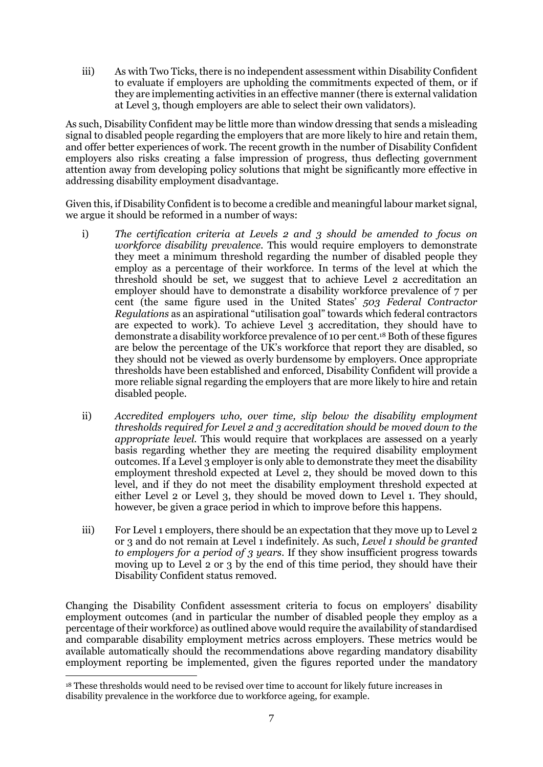iii) As with Two Ticks, there is no independent assessment within Disability Confident to evaluate if employers are upholding the commitments expected of them, or if they are implementing activities in an effective manner (there is external validation at Level 3, though employers are able to select their own validators).

As such, Disability Confident may be little more than window dressing that sends a misleading signal to disabled people regarding the employers that are more likely to hire and retain them, and offer better experiences of work. The recent growth in the number of Disability Confident employers also risks creating a false impression of progress, thus deflecting government attention away from developing policy solutions that might be significantly more effective in addressing disability employment disadvantage.

Given this, if Disability Confident is to become a credible and meaningful labour market signal, we argue it should be reformed in a number of ways:

- i) The certification criteria at Levels 2 and 3 should be amended to focus on workforce disability prevalence. This would require employers to demonstrate they meet a minimum threshold regarding the number of disabled people they employ as a percentage of their workforce. In terms of the level at which the threshold should be set, we suggest that to achieve Level 2 accreditation an employer should have to demonstrate a disability workforce prevalence of 7 per cent (the same figure used in the United States' 503 Federal Contractor Regulations as an aspirational "utilisation goal" towards which federal contractors are expected to work). To achieve Level 3 accreditation, they should have to demonstrate a disability workforce prevalence of 10 per cent.18 Both of these figures are below the percentage of the UK's workforce that report they are disabled, so they should not be viewed as overly burdensome by employers. Once appropriate thresholds have been established and enforced, Disability Confident will provide a more reliable signal regarding the employers that are more likely to hire and retain disabled people.
- ii) Accredited employers who, over time, slip below the disability employment thresholds required for Level 2 and 3 accreditation should be moved down to the appropriate level. This would require that workplaces are assessed on a yearly basis regarding whether they are meeting the required disability employment outcomes. If a Level 3 employer is only able to demonstrate they meet the disability employment threshold expected at Level 2, they should be moved down to this level, and if they do not meet the disability employment threshold expected at either Level 2 or Level 3, they should be moved down to Level 1. They should, however, be given a grace period in which to improve before this happens.
- iii) For Level 1 employers, there should be an expectation that they move up to Level 2 or 3 and do not remain at Level 1 indefinitely. As such, Level 1 should be granted to employers for a period of 3 years. If they show insufficient progress towards moving up to Level 2 or 3 by the end of this time period, they should have their Disability Confident status removed.

Changing the Disability Confident assessment criteria to focus on employers' disability employment outcomes (and in particular the number of disabled people they employ as a percentage of their workforce) as outlined above would require the availability of standardised and comparable disability employment metrics across employers. These metrics would be available automatically should the recommendations above regarding mandatory disability employment reporting be implemented, given the figures reported under the mandatory

<sup>&</sup>lt;sup>18</sup> These thresholds would need to be revised over time to account for likely future increases in disability prevalence in the workforce due to workforce ageing, for example.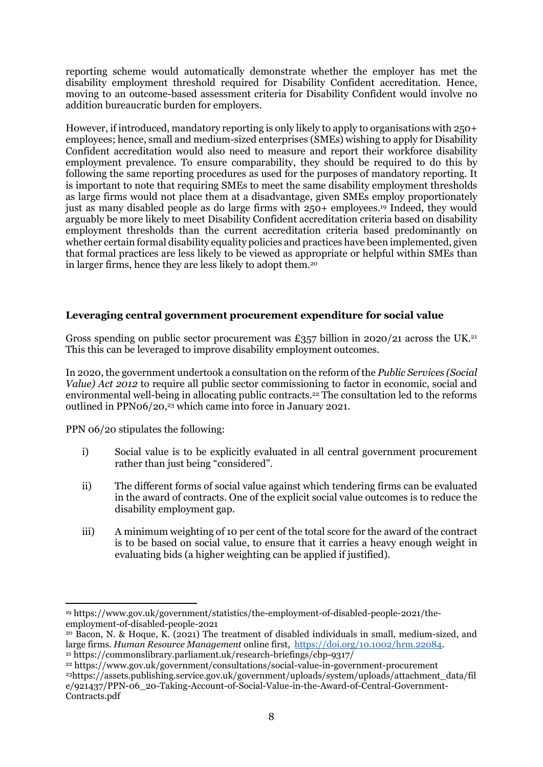reporting scheme would automatically demonstrate whether the employer has met the disability employment threshold required for Disability Confident accreditation. Hence, moving to an outcome-based assessment criteria for Disability Confident would involve no addition bureaucratic burden for employers.

However, if introduced, mandatory reporting is only likely to apply to organisations with 250+ employees; hence, small and medium-sized enterprises (SMEs) wishing to apply for Disability Confident accreditation would also need to measure and report their workforce disability employment prevalence. To ensure comparability, they should be required to do this by following the same reporting procedures as used for the purposes of mandatory reporting. It is important to note that requiring SMEs to meet the same disability employment thresholds as large firms would not place them at a disadvantage, given SMEs employ proportionately just as many disabled people as do large firms with 250+ employees.19 Indeed, they would arguably be more likely to meet Disability Confident accreditation criteria based on disability employment thresholds than the current accreditation criteria based predominantly on whether certain formal disability equality policies and practices have been implemented, given that formal practices are less likely to be viewed as appropriate or helpful within SMEs than in larger firms, hence they are less likely to adopt them.<sup>20</sup>

### Leveraging central government procurement expenditure for social value

Gross spending on public sector procurement was £357 billion in 2020/21 across the UK.<sup>21</sup> This this can be leveraged to improve disability employment outcomes.

In 2020, the government undertook a consultation on the reform of the Public Services (Social Value) Act 2012 to require all public sector commissioning to factor in economic, social and environmental well-being in allocating public contracts.<sup>22</sup> The consultation led to the reforms outlined in PPN06/20,23 which came into force in January 2021.

PPN 06/20 stipulates the following:

- i) Social value is to be explicitly evaluated in all central government procurement rather than just being "considered".
- ii) The different forms of social value against which tendering firms can be evaluated in the award of contracts. One of the explicit social value outcomes is to reduce the disability employment gap.
- iii) A minimum weighting of 10 per cent of the total score for the award of the contract is to be based on social value, to ensure that it carries a heavy enough weight in evaluating bids (a higher weighting can be applied if justified).

<sup>19</sup> https://www.gov.uk/government/statistics/the-employment-of-disabled-people-2021/theemployment-of-disabled-people-2021

<sup>20</sup> Bacon, N. & Hoque, K. (2021) The treatment of disabled individuals in small, medium-sized, and large firms. Human Resource Management online first, https://doi.org/10.1002/hrm.22084. <sup>21</sup> https://commonslibrary.parliament.uk/research-briefings/cbp-9317/

<sup>22</sup> https://www.gov.uk/government/consultations/social-value-in-government-procurement <sup>23</sup>https://assets.publishing.service.gov.uk/government/uploads/system/uploads/attachment\_data/fil e/921437/PPN-06\_20-Taking-Account-of-Social-Value-in-the-Award-of-Central-Government-Contracts.pdf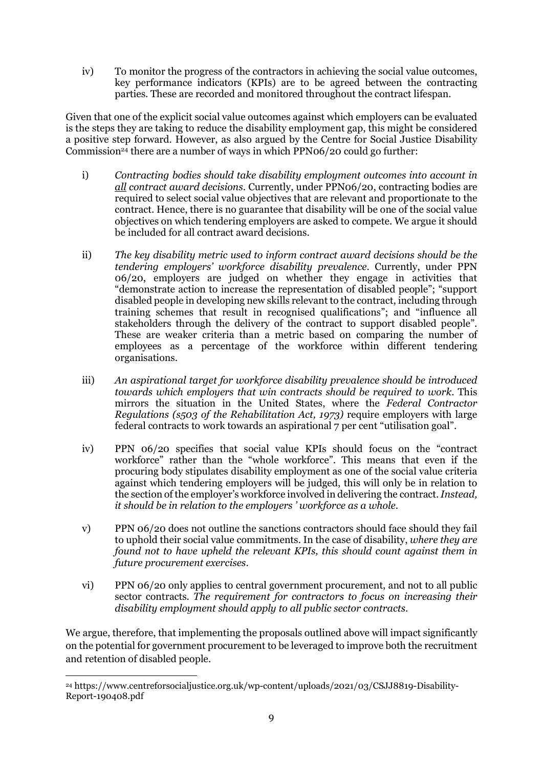iv) To monitor the progress of the contractors in achieving the social value outcomes, key performance indicators (KPIs) are to be agreed between the contracting parties. These are recorded and monitored throughout the contract lifespan.

Given that one of the explicit social value outcomes against which employers can be evaluated is the steps they are taking to reduce the disability employment gap, this might be considered a positive step forward. However, as also argued by the Centre for Social Justice Disability Commission<sup>24</sup> there are a number of ways in which PPN06/20 could go further:

- i) Contracting bodies should take disability employment outcomes into account in all contract award decisions. Currently, under PPN06/20, contracting bodies are required to select social value objectives that are relevant and proportionate to the contract. Hence, there is no guarantee that disability will be one of the social value objectives on which tendering employers are asked to compete. We argue it should be included for all contract award decisions.
- ii) The key disability metric used to inform contract award decisions should be the tendering employers' workforce disability prevalence. Currently, under PPN 06/20, employers are judged on whether they engage in activities that "demonstrate action to increase the representation of disabled people"; "support disabled people in developing new skills relevant to the contract, including through training schemes that result in recognised qualifications"; and "influence all stakeholders through the delivery of the contract to support disabled people". These are weaker criteria than a metric based on comparing the number of employees as a percentage of the workforce within different tendering organisations.
- iii) An aspirational target for workforce disability prevalence should be introduced towards which employers that win contracts should be required to work. This mirrors the situation in the United States, where the Federal Contractor Regulations (s503 of the Rehabilitation Act, 1973) require employers with large federal contracts to work towards an aspirational 7 per cent "utilisation goal".
- iv) PPN 06/20 specifies that social value KPIs should focus on the "contract workforce" rather than the "whole workforce". This means that even if the procuring body stipulates disability employment as one of the social value criteria against which tendering employers will be judged, this will only be in relation to the section of the employer's workforce involved in delivering the contract. Instead, it should be in relation to the employers ' workforce as a whole.
- v) PPN 06/20 does not outline the sanctions contractors should face should they fail to uphold their social value commitments. In the case of disability, where they are found not to have upheld the relevant KPIs, this should count against them in future procurement exercises.
- vi) PPN 06/20 only applies to central government procurement, and not to all public sector contracts. The requirement for contractors to focus on increasing their disability employment should apply to all public sector contracts.

We argue, therefore, that implementing the proposals outlined above will impact significantly on the potential for government procurement to be leveraged to improve both the recruitment and retention of disabled people.

<sup>24</sup> https://www.centreforsocialjustice.org.uk/wp-content/uploads/2021/03/CSJJ8819-Disability-Report-190408.pdf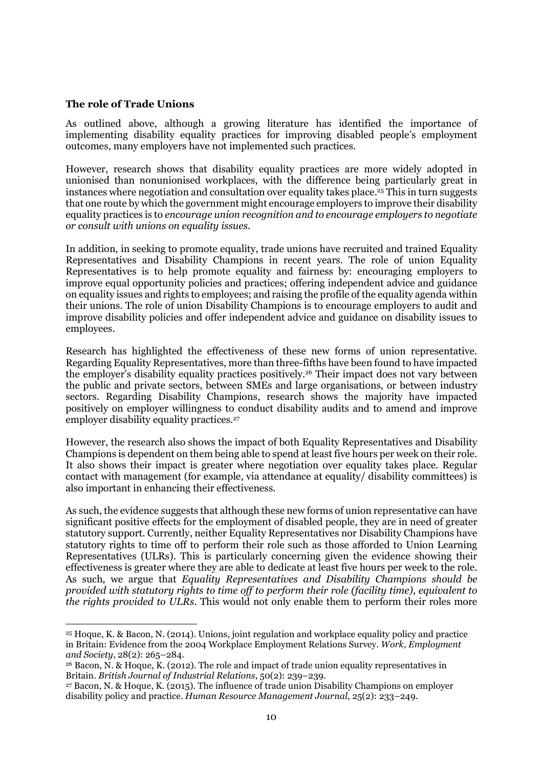#### The role of Trade Unions

As outlined above, although a growing literature has identified the importance of implementing disability equality practices for improving disabled people's employment outcomes, many employers have not implemented such practices.

However, research shows that disability equality practices are more widely adopted in unionised than nonunionised workplaces, with the difference being particularly great in instances where negotiation and consultation over equality takes place.25 This in turn suggests that one route by which the government might encourage employers to improve their disability equality practices is to encourage union recognition and to encourage employers to negotiate or consult with unions on equality issues.

In addition, in seeking to promote equality, trade unions have recruited and trained Equality Representatives and Disability Champions in recent years. The role of union Equality Representatives is to help promote equality and fairness by: encouraging employers to improve equal opportunity policies and practices; offering independent advice and guidance on equality issues and rights to employees; and raising the profile of the equality agenda within their unions. The role of union Disability Champions is to encourage employers to audit and improve disability policies and offer independent advice and guidance on disability issues to employees.

Research has highlighted the effectiveness of these new forms of union representative. Regarding Equality Representatives, more than three-fifths have been found to have impacted the employer's disability equality practices positively.26 Their impact does not vary between the public and private sectors, between SMEs and large organisations, or between industry sectors. Regarding Disability Champions, research shows the majority have impacted positively on employer willingness to conduct disability audits and to amend and improve employer disability equality practices.<sup>27</sup>

However, the research also shows the impact of both Equality Representatives and Disability Champions is dependent on them being able to spend at least five hours per week on their role. It also shows their impact is greater where negotiation over equality takes place. Regular contact with management (for example, via attendance at equality/ disability committees) is also important in enhancing their effectiveness.

As such, the evidence suggests that although these new forms of union representative can have significant positive effects for the employment of disabled people, they are in need of greater statutory support. Currently, neither Equality Representatives nor Disability Champions have statutory rights to time off to perform their role such as those afforded to Union Learning Representatives (ULRs). This is particularly concerning given the evidence showing their effectiveness is greater where they are able to dedicate at least five hours per week to the role. As such, we argue that Equality Representatives and Disability Champions should be provided with statutory rights to time off to perform their role (facility time), equivalent to the rights provided to ULRs. This would not only enable them to perform their roles more

<sup>25</sup> Hoque, K. & Bacon, N. (2014). Unions, joint regulation and workplace equality policy and practice in Britain: Evidence from the 2004 Workplace Employment Relations Survey. Work, Employment and Society, 28(2): 265–284.

<sup>26</sup> Bacon, N. & Hoque, K. (2012). The role and impact of trade union equality representatives in Britain. British Journal of Industrial Relations, 50(2): 239–239.

<sup>27</sup> Bacon, N. & Hoque, K. (2015). The influence of trade union Disability Champions on employer disability policy and practice. Human Resource Management Journal, 25(2): 233–249.